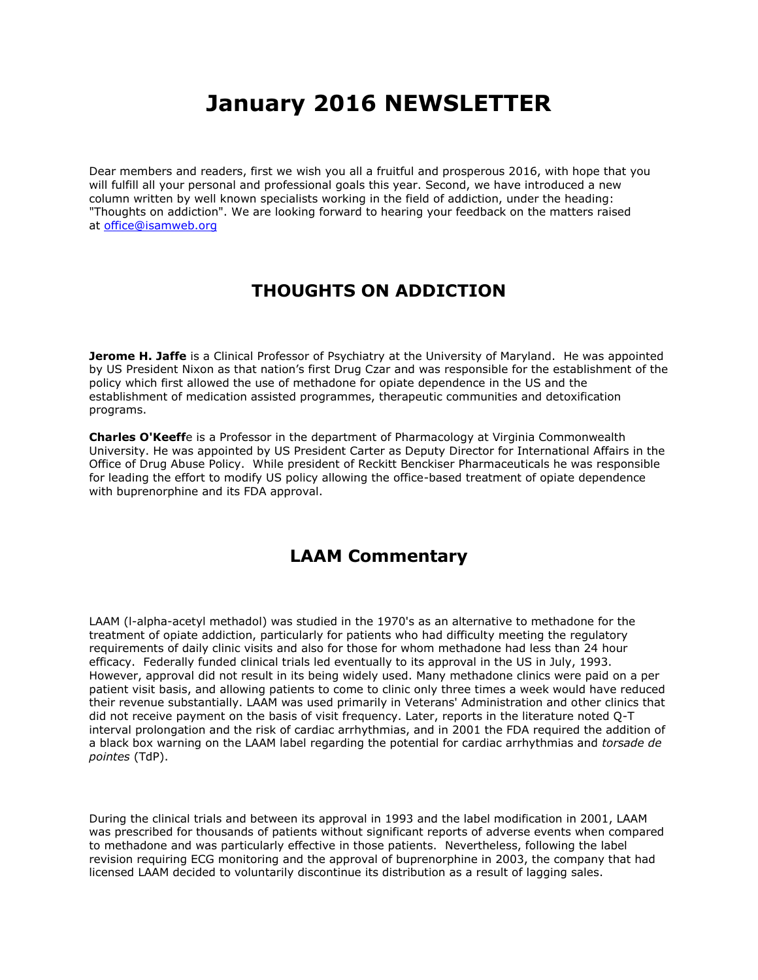## **January 2016 NEWSLETTER**

Dear members and readers, first we wish you all a fruitful and prosperous 2016, with hope that you will fulfill all your personal and professional goals this year. Second, we have introduced a new column written by well known specialists working in the field of addiction, under the heading: "Thoughts on addiction". We are looking forward to hearing your feedback on the matters raised at [office@isamweb.org](mailto:office@isamweb.org)

## **THOUGHTS ON ADDICTION**

**Jerome H. Jaffe** is a Clinical Professor of Psychiatry at the University of Maryland. He was appointed by US President Nixon as that nation's first Drug Czar and was responsible for the establishment of the policy which first allowed the use of methadone for opiate dependence in the US and the establishment of medication assisted programmes, therapeutic communities and detoxification programs.

**Charles O'Keeff**e is a Professor in the department of Pharmacology at Virginia Commonwealth University. He was appointed by US President Carter as Deputy Director for International Affairs in the Office of Drug Abuse Policy. While president of Reckitt Benckiser Pharmaceuticals he was responsible for leading the effort to modify US policy allowing the office-based treatment of opiate dependence with buprenorphine and its FDA approval.

## **LAAM Commentary**

LAAM (l-alpha-acetyl methadol) was studied in the 1970's as an alternative to methadone for the treatment of opiate addiction, particularly for patients who had difficulty meeting the regulatory requirements of daily clinic visits and also for those for whom methadone had less than 24 hour efficacy. Federally funded clinical trials led eventually to its approval in the US in July, 1993. However, approval did not result in its being widely used. Many methadone clinics were paid on a per patient visit basis, and allowing patients to come to clinic only three times a week would have reduced their revenue substantially. LAAM was used primarily in Veterans' Administration and other clinics that did not receive payment on the basis of visit frequency. Later, reports in the literature noted Q-T interval prolongation and the risk of cardiac arrhythmias, and in 2001 the FDA required the addition of a black box warning on the LAAM label regarding the potential for cardiac arrhythmias and *torsade de pointes* (TdP).

During the clinical trials and between its approval in 1993 and the label modification in 2001, LAAM was prescribed for thousands of patients without significant reports of adverse events when compared to methadone and was particularly effective in those patients. Nevertheless, following the label revision requiring ECG monitoring and the approval of buprenorphine in 2003, the company that had licensed LAAM decided to voluntarily discontinue its distribution as a result of lagging sales.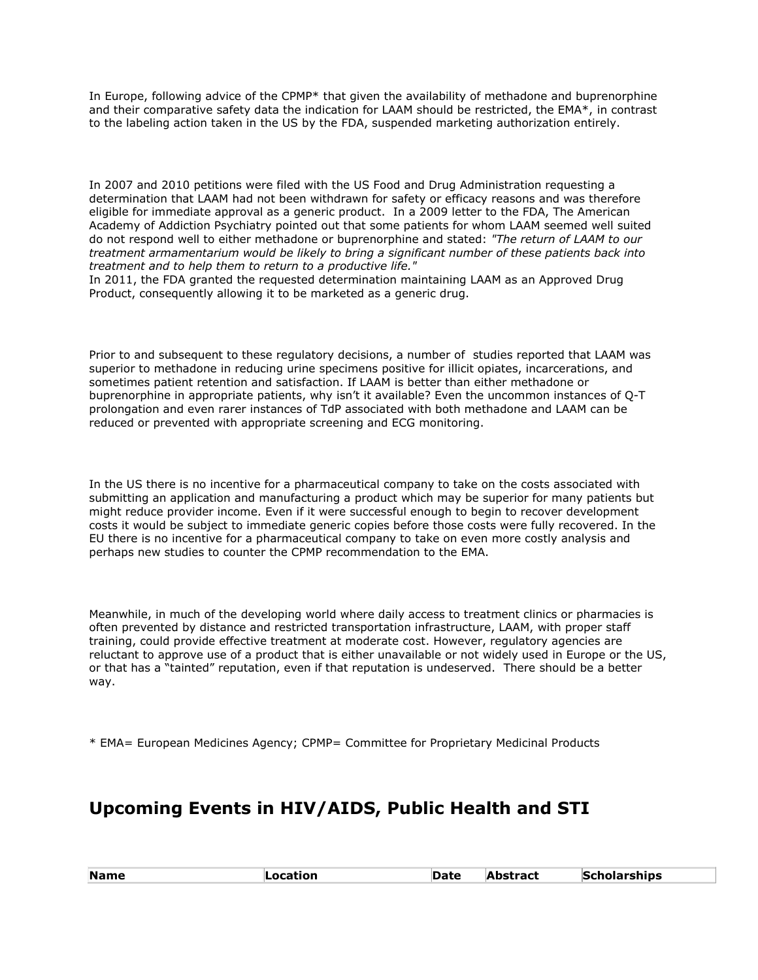In Europe, following advice of the CPMP\* that given the availability of methadone and buprenorphine and their comparative safety data the indication for LAAM should be restricted, the EMA\*, in contrast to the labeling action taken in the US by the FDA, suspended marketing authorization entirely.

In 2007 and 2010 petitions were filed with the US Food and Drug Administration requesting a determination that LAAM had not been withdrawn for safety or efficacy reasons and was therefore eligible for immediate approval as a generic product. In a 2009 letter to the FDA, The American Academy of Addiction Psychiatry pointed out that some patients for whom LAAM seemed well suited do not respond well to either methadone or buprenorphine and stated: *"The return of LAAM to our treatment armamentarium would be likely to bring a significant number of these patients back into treatment and to help them to return to a productive life."*

In 2011, the FDA granted the requested determination maintaining LAAM as an Approved Drug Product, consequently allowing it to be marketed as a generic drug.

Prior to and subsequent to these regulatory decisions, a number of studies reported that LAAM was superior to methadone in reducing urine specimens positive for illicit opiates, incarcerations, and sometimes patient retention and satisfaction. If LAAM is better than either methadone or buprenorphine in appropriate patients, why isn't it available? Even the uncommon instances of Q-T prolongation and even rarer instances of TdP associated with both methadone and LAAM can be reduced or prevented with appropriate screening and ECG monitoring.

In the US there is no incentive for a pharmaceutical company to take on the costs associated with submitting an application and manufacturing a product which may be superior for many patients but might reduce provider income. Even if it were successful enough to begin to recover development costs it would be subject to immediate generic copies before those costs were fully recovered. In the EU there is no incentive for a pharmaceutical company to take on even more costly analysis and perhaps new studies to counter the CPMP recommendation to the EMA.

Meanwhile, in much of the developing world where daily access to treatment clinics or pharmacies is often prevented by distance and restricted transportation infrastructure, LAAM, with proper staff training, could provide effective treatment at moderate cost. However, regulatory agencies are reluctant to approve use of a product that is either unavailable or not widely used in Europe or the US, or that has a "tainted" reputation, even if that reputation is undeserved. There should be a better way.

\* EMA= European Medicines Agency; CPMP= Committee for Proprietary Medicinal Products

## **Upcoming Events in HIV/AIDS, Public Health and STI**

|  | <b>Name</b> | Location | Date | Abstract | Scholarships |
|--|-------------|----------|------|----------|--------------|
|--|-------------|----------|------|----------|--------------|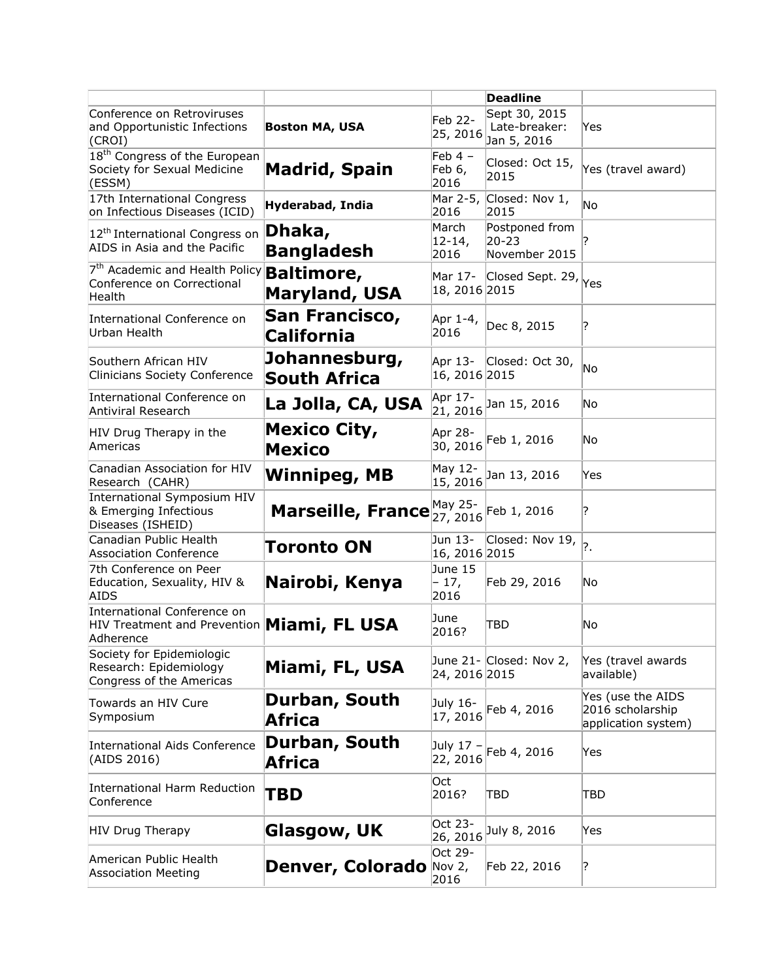|                                                                                               |                                           |                             | <b>Deadline</b>                               |                                                              |
|-----------------------------------------------------------------------------------------------|-------------------------------------------|-----------------------------|-----------------------------------------------|--------------------------------------------------------------|
| Conference on Retroviruses<br>and Opportunistic Infections<br>(CROI)                          | <b>Boston MA, USA</b>                     | Feb 22-<br>25, 2016         | Sept 30, 2015<br>Late-breaker:<br>Jan 5, 2016 | Yes                                                          |
| 18 <sup>th</sup> Congress of the European<br>Society for Sexual Medicine<br>(ESSM)            | <b>Madrid, Spain</b>                      | Feb $4 -$<br>Feb 6,<br>2016 | Closed: Oct 15,<br>2015                       | Yes (travel award)                                           |
| 17th International Congress<br>on Infectious Diseases (ICID)                                  | Hyderabad, India                          | Mar 2-5,<br>2016            | Closed: Nov 1,<br>2015                        | No                                                           |
| 12 <sup>th</sup> International Congress on<br>AIDS in Asia and the Pacific                    | Dhaka,<br><b>Bangladesh</b>               | March<br>$12 - 14,$<br>2016 | Postponed from<br>$20 - 23$<br>November 2015  |                                                              |
| 7 <sup>th</sup> Academic and Health Policy<br>Conference on Correctional<br>Health            | <b>Baltimore,</b><br><b>Maryland, USA</b> | Mar 17-<br>18, 2016 2015    | Closed Sept. 29, Yes                          |                                                              |
| International Conference on<br>Urban Health                                                   | San Francisco,<br>California              | Apr 1-4,<br>2016            | Dec 8, 2015                                   | ?                                                            |
| Southern African HIV<br><b>Clinicians Society Conference</b>                                  | Johannesburg,<br><b>South Africa</b>      | 16, 2016 2015               | Apr 13- Closed: Oct 30,                       | No                                                           |
| International Conference on<br>Antiviral Research                                             | La Jolla, CA, USA                         | Apr 17-<br>21, 2016         | Jan 15, 2016                                  | No                                                           |
| HIV Drug Therapy in the<br>Americas                                                           | <b>Mexico City,</b><br>Mexico             | Apr 28-<br>30, 2016         | Feb 1, 2016                                   | No                                                           |
| Canadian Association for HIV<br>Research (CAHR)                                               | <b>Winnipeg, MB</b>                       | May 12-<br>15, 2016         | Jan 13, 2016                                  | Yes                                                          |
| International Symposium HIV<br>& Emerging Infectious<br>Diseases (ISHEID)                     | Marseille, France 27, 2016                | May 25-                     | Feb 1, 2016                                   | ?                                                            |
| Canadian Public Health<br><b>Association Conference</b>                                       | <b>Toronto ON</b>                         | Jun 13-<br>16, 2016 2015    | Closed: Nov 19, $\vert$ ?                     |                                                              |
| 7th Conference on Peer<br>Education, Sexuality, HIV &<br><b>AIDS</b>                          | Nairobi, Kenya                            | June 15<br>- 17,<br>2016    | Feb 29, 2016                                  | No                                                           |
| International Conference on<br>HIV Treatment and Prevention <b>Miami, FL USA</b><br>Adherence |                                           | June<br>2016?               | TBD                                           | No                                                           |
| Society for Epidemiologic<br>Research: Epidemiology<br>Congress of the Americas               | Miami, FL, USA                            | 24, 2016 2015               | June 21- Closed: Nov 2,                       | Yes (travel awards<br>available)                             |
| Towards an HIV Cure<br>Symposium                                                              | Durban, South<br>Africa                   | July 16-<br>17, 2016        | Feb 4, 2016                                   | Yes (use the AIDS<br>2016 scholarship<br>application system) |
| International Aids Conference<br>(AIDS 2016)                                                  | Durban, South<br>Africa                   | July 17 –<br>22, 2016       | Feb 4, 2016                                   | Yes                                                          |
| International Harm Reduction<br>Conference                                                    | TBD                                       | Oct<br>2016?                | TBD                                           | TBD                                                          |
| <b>HIV Drug Therapy</b>                                                                       | Glasgow, UK                               | Oct 23-<br>26, 2016         | July 8, 2016                                  | Yes                                                          |
| American Public Health<br><b>Association Meeting</b>                                          | Denver, Colorado                          | Oct 29-<br>Nov $2,$<br>2016 | Feb 22, 2016                                  | ?                                                            |